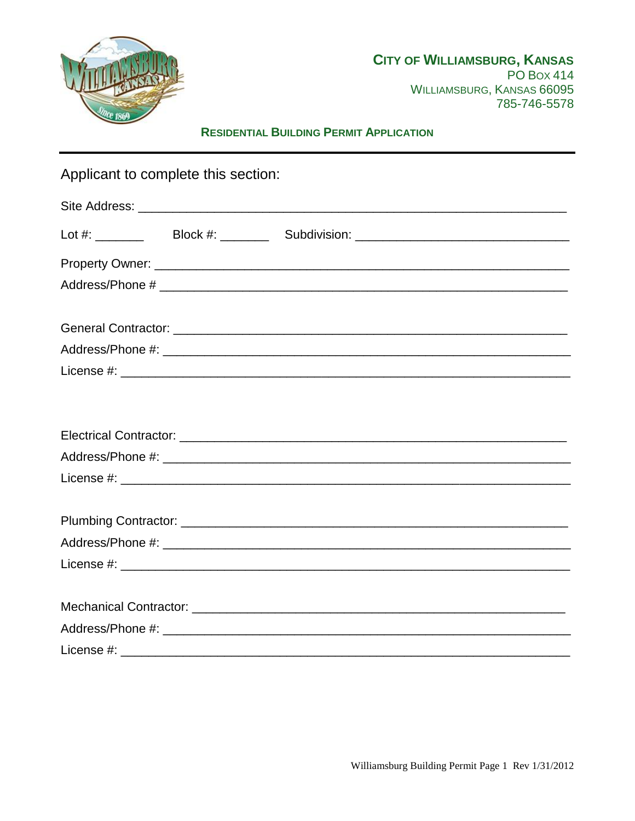

# **RESIDENTIAL BUILDING PERMIT APPLICATION**

| Applicant to complete this section: |  |                                                                                  |  |  |  |  |
|-------------------------------------|--|----------------------------------------------------------------------------------|--|--|--|--|
|                                     |  |                                                                                  |  |  |  |  |
|                                     |  | Lot #: __________  Block #: _________ Subdivision: _____________________________ |  |  |  |  |
|                                     |  |                                                                                  |  |  |  |  |
|                                     |  |                                                                                  |  |  |  |  |
|                                     |  |                                                                                  |  |  |  |  |
|                                     |  |                                                                                  |  |  |  |  |
|                                     |  |                                                                                  |  |  |  |  |
|                                     |  |                                                                                  |  |  |  |  |
|                                     |  |                                                                                  |  |  |  |  |
|                                     |  |                                                                                  |  |  |  |  |
|                                     |  |                                                                                  |  |  |  |  |
|                                     |  |                                                                                  |  |  |  |  |
|                                     |  |                                                                                  |  |  |  |  |
|                                     |  |                                                                                  |  |  |  |  |
|                                     |  |                                                                                  |  |  |  |  |
|                                     |  |                                                                                  |  |  |  |  |
|                                     |  |                                                                                  |  |  |  |  |
|                                     |  |                                                                                  |  |  |  |  |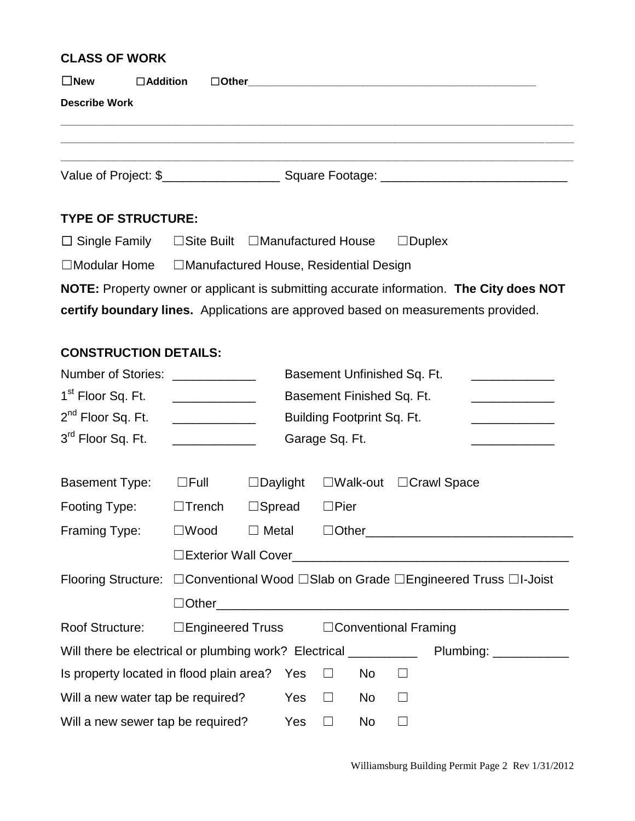#### **CLASS OF WORK**

| $\square$ New        | $\Box$ Addition      |  |                                |  |  |  |  |  |
|----------------------|----------------------|--|--------------------------------|--|--|--|--|--|
| <b>Describe Work</b> |                      |  |                                |  |  |  |  |  |
|                      |                      |  |                                |  |  |  |  |  |
|                      |                      |  |                                |  |  |  |  |  |
|                      | Value of Project: \$ |  | Square Footage: ______________ |  |  |  |  |  |

### **TYPE OF STRUCTURE:**

| $\Box$ Single Family | $\Box$ Site Built | ∟Manufactured House | $\square$ Duplex |
|----------------------|-------------------|---------------------|------------------|
|----------------------|-------------------|---------------------|------------------|

☐Modular Home ☐Manufactured House, Residential Design

**NOTE:** Property owner or applicant is submitting accurate information. **The City does NOT certify boundary lines.** Applications are approved based on measurements provided.

#### **CONSTRUCTION DETAILS:**

| <b>Number of Stories:</b>                                                                   |                                                                      |                                                                                                | Basement Unfinished Sq. Ft. |                |           |        |                                    |                                         |
|---------------------------------------------------------------------------------------------|----------------------------------------------------------------------|------------------------------------------------------------------------------------------------|-----------------------------|----------------|-----------|--------|------------------------------------|-----------------------------------------|
| 1 <sup>st</sup> Floor Sq. Ft.                                                               | Basement Finished Sq. Ft.<br><u> 1989 - Johann Barbara, martin a</u> |                                                                                                |                             |                |           |        |                                    |                                         |
| 2 <sup>nd</sup> Floor Sq. Ft.                                                               |                                                                      | Building Footprint Sq. Ft.<br><u> 1989 - Johann Stein, mars an t-Amerikaansk kommunister (</u> |                             |                |           |        |                                    |                                         |
| 3rd Floor Sq. Ft.                                                                           | <u> 1990 - Johann Barbara, martxa a</u>                              |                                                                                                |                             | Garage Sq. Ft. |           |        |                                    | <u> 1990 - Johann Barbara, martin a</u> |
|                                                                                             |                                                                      |                                                                                                |                             |                |           |        |                                    |                                         |
| <b>Basement Type:</b>                                                                       | $\Box$ Full                                                          | $\Box$ Daylight                                                                                |                             |                |           |        | $\Box$ Walk-out $\Box$ Crawl Space |                                         |
| Footing Type:                                                                               | $\Box$ Trench                                                        | $\square$ Spread                                                                               |                             | $\Box$ Pier    |           |        |                                    |                                         |
| Framing Type:                                                                               | $\square$ Wood                                                       | $\Box$ Metal                                                                                   |                             |                |           |        |                                    |                                         |
|                                                                                             |                                                                      |                                                                                                |                             |                |           |        |                                    |                                         |
| Flooring Structure: □ Conventional Wood □ Slab on Grade □ Engineered Truss □I-Joist         |                                                                      |                                                                                                |                             |                |           |        |                                    |                                         |
|                                                                                             | $\Box$ Other $\_\_$                                                  |                                                                                                |                             |                |           |        |                                    |                                         |
| Roof Structure:                                                                             | $\Box$ Engineered Truss $\Box$ Conventional Framing                  |                                                                                                |                             |                |           |        |                                    |                                         |
| Will there be electrical or plumbing work? Electrical _______________ Plumbing: ___________ |                                                                      |                                                                                                |                             |                |           |        |                                    |                                         |
| Is property located in flood plain area? Yes<br>No<br>$\Box$<br>$\Box$                      |                                                                      |                                                                                                |                             |                |           |        |                                    |                                         |
| Will a new water tap be required?<br>Yes<br>No<br>$\Box$<br>$\perp$                         |                                                                      |                                                                                                |                             |                |           |        |                                    |                                         |
| Will a new sewer tap be required?<br>Yes                                                    |                                                                      |                                                                                                |                             | $\Box$         | <b>No</b> | $\Box$ |                                    |                                         |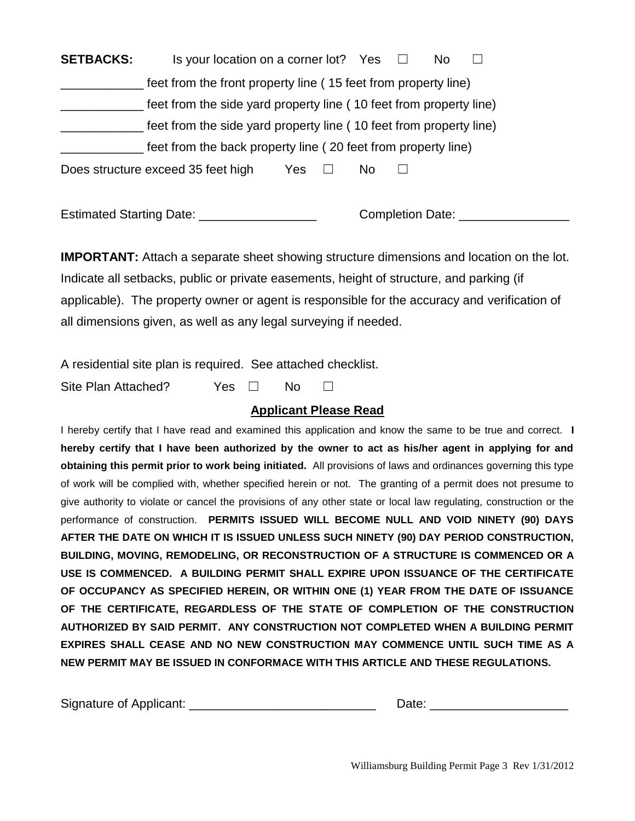**SETBACKS:** Is your location on a corner lot? Yes □ No □ \_\_\_\_\_\_\_\_\_\_\_\_ feet from the front property line ( 15 feet from property line) \_\_\_\_\_\_\_\_\_\_\_\_ feet from the side yard property line ( 10 feet from property line) feet from the side yard property line (10 feet from property line) \_\_\_\_\_\_\_\_\_\_\_\_ feet from the back property line ( 20 feet from property line) Does structure exceed 35 feet high Yes □ No □

Estimated Starting Date: \_\_\_\_\_\_\_\_\_\_\_\_\_\_\_\_\_\_\_\_\_\_\_ Completion Date: \_\_\_\_\_\_\_\_\_\_\_\_\_\_

**IMPORTANT:** Attach a separate sheet showing structure dimensions and location on the lot. Indicate all setbacks, public or private easements, height of structure, and parking (if applicable). The property owner or agent is responsible for the accuracy and verification of all dimensions given, as well as any legal surveying if needed.

A residential site plan is required. See attached checklist.

Site Plan Attached? Yes □ No □

### **Applicant Please Read**

I hereby certify that I have read and examined this application and know the same to be true and correct. **I hereby certify that I have been authorized by the owner to act as his/her agent in applying for and obtaining this permit prior to work being initiated.** All provisions of laws and ordinances governing this type of work will be complied with, whether specified herein or not. The granting of a permit does not presume to give authority to violate or cancel the provisions of any other state or local law regulating, construction or the performance of construction. **PERMITS ISSUED WILL BECOME NULL AND VOID NINETY (90) DAYS AFTER THE DATE ON WHICH IT IS ISSUED UNLESS SUCH NINETY (90) DAY PERIOD CONSTRUCTION, BUILDING, MOVING, REMODELING, OR RECONSTRUCTION OF A STRUCTURE IS COMMENCED OR A USE IS COMMENCED. A BUILDING PERMIT SHALL EXPIRE UPON ISSUANCE OF THE CERTIFICATE OF OCCUPANCY AS SPECIFIED HEREIN, OR WITHIN ONE (1) YEAR FROM THE DATE OF ISSUANCE OF THE CERTIFICATE, REGARDLESS OF THE STATE OF COMPLETION OF THE CONSTRUCTION AUTHORIZED BY SAID PERMIT. ANY CONSTRUCTION NOT COMPLETED WHEN A BUILDING PERMIT EXPIRES SHALL CEASE AND NO NEW CONSTRUCTION MAY COMMENCE UNTIL SUCH TIME AS A NEW PERMIT MAY BE ISSUED IN CONFORMACE WITH THIS ARTICLE AND THESE REGULATIONS.**

| Signature of Applicant: |      |
|-------------------------|------|
|                         | Date |